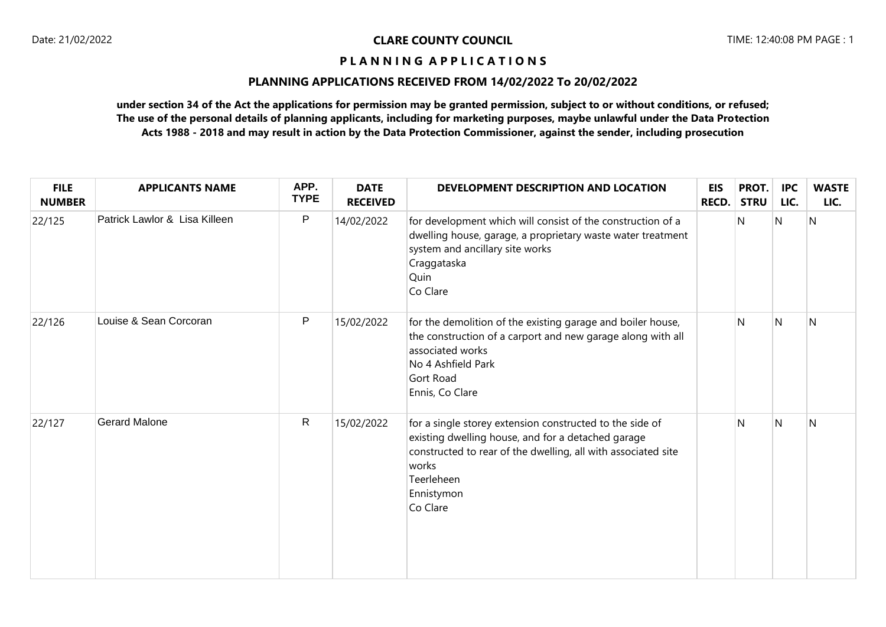## **PLANNING APPLICATIONS RECEIVED FROM 14/02/2022 To 20/02/2022**

| <b>FILE</b><br><b>NUMBER</b> | <b>APPLICANTS NAME</b>        | APP.<br><b>TYPE</b> | <b>DATE</b><br><b>RECEIVED</b> | DEVELOPMENT DESCRIPTION AND LOCATION                                                                                                                                                                                             | <b>EIS</b><br>RECD. | PROT.<br><b>STRU</b> | <b>IPC</b><br>LIC. | <b>WASTE</b><br>LIC. |
|------------------------------|-------------------------------|---------------------|--------------------------------|----------------------------------------------------------------------------------------------------------------------------------------------------------------------------------------------------------------------------------|---------------------|----------------------|--------------------|----------------------|
| 22/125                       | Patrick Lawlor & Lisa Killeen | P                   | 14/02/2022                     | for development which will consist of the construction of a<br>dwelling house, garage, a proprietary waste water treatment<br>system and ancillary site works<br>Craggataska<br>Quin<br>Co Clare                                 |                     | N                    | N                  | $\overline{N}$       |
| 22/126                       | Louise & Sean Corcoran        | P                   | 15/02/2022                     | for the demolition of the existing garage and boiler house,<br>the construction of a carport and new garage along with all<br>associated works<br>No 4 Ashfield Park<br>Gort Road<br>Ennis, Co Clare                             |                     | N                    | N                  | N                    |
| 22/127                       | <b>Gerard Malone</b>          | R                   | 15/02/2022                     | for a single storey extension constructed to the side of<br>existing dwelling house, and for a detached garage<br>constructed to rear of the dwelling, all with associated site<br>works<br>Teerleheen<br>Ennistymon<br>Co Clare |                     | N.                   | N                  | N                    |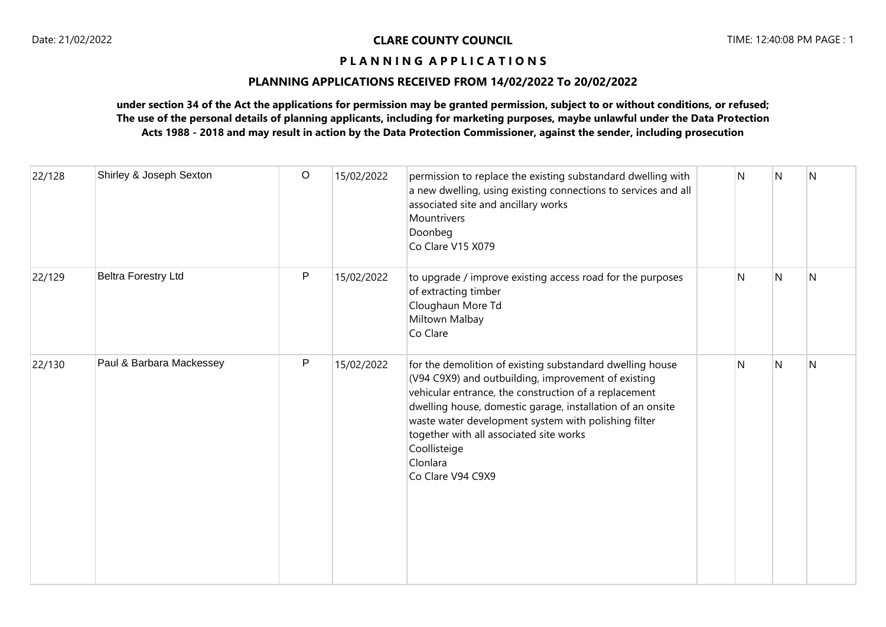## **PLANNING APPLICATIONS RECEIVED FROM 14/02/2022 To 20/02/2022**

| 22/128 | Shirley & Joseph Sexton    | $\circ$ | 15/02/2022 | permission to replace the existing substandard dwelling with<br>a new dwelling, using existing connections to services and all<br>associated site and ancillary works<br>Mountrivers<br>Doonbeg<br>Co Clare V15 X079                                                                                                                                                                        | N | N              | N            |
|--------|----------------------------|---------|------------|---------------------------------------------------------------------------------------------------------------------------------------------------------------------------------------------------------------------------------------------------------------------------------------------------------------------------------------------------------------------------------------------|---|----------------|--------------|
| 22/129 | <b>Beltra Forestry Ltd</b> | P       | 15/02/2022 | to upgrade / improve existing access road for the purposes<br>of extracting timber<br>Cloughaun More Td<br>Miltown Malbay<br>Co Clare                                                                                                                                                                                                                                                       | N | N              | N            |
| 22/130 | Paul & Barbara Mackessey   | P       | 15/02/2022 | for the demolition of existing substandard dwelling house<br>(V94 C9X9) and outbuilding, improvement of existing<br>vehicular entrance, the construction of a replacement<br>dwelling house, domestic garage, installation of an onsite<br>waste water development system with polishing filter<br>together with all associated site works<br>Coollisteige<br>Clonlara<br>Co Clare V94 C9X9 | N | $\overline{N}$ | <sup>N</sup> |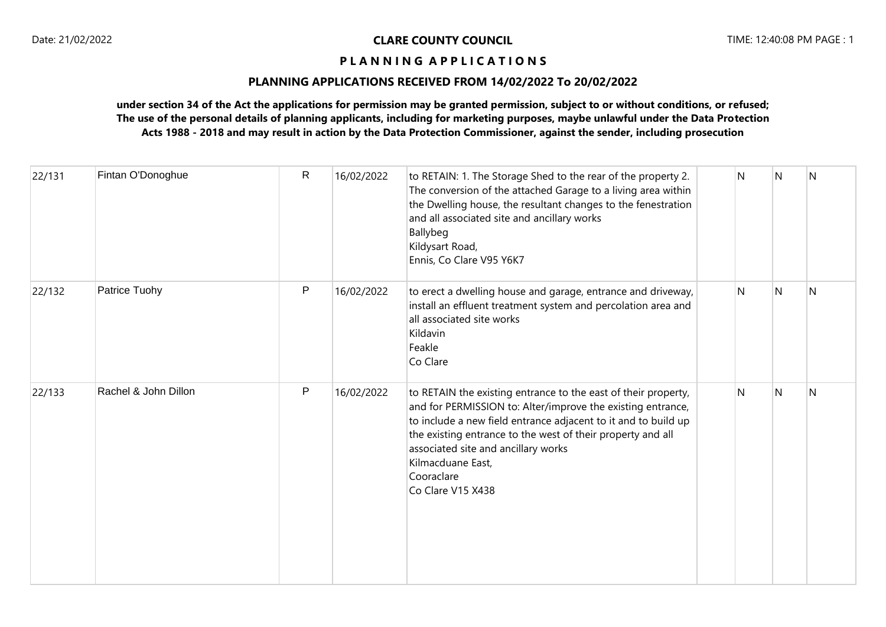## Date: 21/02/2022 **CLARE COUNTY COUNCIL** TIME: 12:40:08 PM PAGE : 1

## **P L A N N I N G A P P L I C A T I O N S**

## **PLANNING APPLICATIONS RECEIVED FROM 14/02/2022 To 20/02/2022**

| 22/131 | Fintan O'Donoghue    | $\mathsf{R}$ | 16/02/2022 | to RETAIN: 1. The Storage Shed to the rear of the property 2.<br>The conversion of the attached Garage to a living area within<br>the Dwelling house, the resultant changes to the fenestration<br>and all associated site and ancillary works<br>Ballybeg<br>Kildysart Road,<br>Ennis, Co Clare V95 Y6K7                                                     | N | N | N |
|--------|----------------------|--------------|------------|---------------------------------------------------------------------------------------------------------------------------------------------------------------------------------------------------------------------------------------------------------------------------------------------------------------------------------------------------------------|---|---|---|
| 22/132 | Patrice Tuohy        | P            | 16/02/2022 | to erect a dwelling house and garage, entrance and driveway,<br>install an effluent treatment system and percolation area and<br>all associated site works<br>Kildavin<br>Feakle<br>Co Clare                                                                                                                                                                  | N | N | N |
| 22/133 | Rachel & John Dillon | P            | 16/02/2022 | to RETAIN the existing entrance to the east of their property,<br>and for PERMISSION to: Alter/improve the existing entrance,<br>to include a new field entrance adjacent to it and to build up<br>the existing entrance to the west of their property and all<br>associated site and ancillary works<br>Kilmacduane East,<br>Cooraclare<br>Co Clare V15 X438 | N | N | N |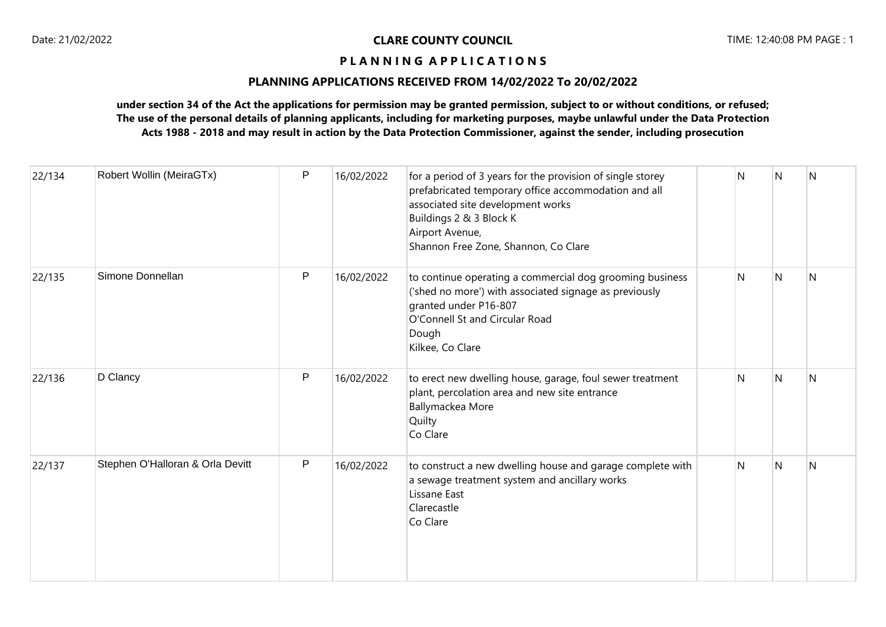## **PLANNING APPLICATIONS RECEIVED FROM 14/02/2022 To 20/02/2022**

| 22/134 | Robert Wollin (MeiraGTx)         | P | 16/02/2022 | for a period of 3 years for the provision of single storey<br>prefabricated temporary office accommodation and all<br>associated site development works<br>Buildings 2 & 3 Block K<br>Airport Avenue,<br>Shannon Free Zone, Shannon, Co Clare | Ν | N              | N              |
|--------|----------------------------------|---|------------|-----------------------------------------------------------------------------------------------------------------------------------------------------------------------------------------------------------------------------------------------|---|----------------|----------------|
| 22/135 | Simone Donnellan                 | P | 16/02/2022 | to continue operating a commercial dog grooming business<br>('shed no more') with associated signage as previously<br>granted under P16-807<br>O'Connell St and Circular Road<br>Dough<br>Kilkee, Co Clare                                    | N | $\overline{N}$ | $\overline{N}$ |
| 22/136 | D Clancy                         | P | 16/02/2022 | to erect new dwelling house, garage, foul sewer treatment<br>plant, percolation area and new site entrance<br>Ballymackea More<br>Quilty<br>Co Clare                                                                                          | N | $\overline{N}$ | $\overline{N}$ |
| 22/137 | Stephen O'Halloran & Orla Devitt | P | 16/02/2022 | to construct a new dwelling house and garage complete with<br>a sewage treatment system and ancillary works<br>Lissane East<br>Clarecastle<br>Co Clare                                                                                        | N | <sup>N</sup>   | N              |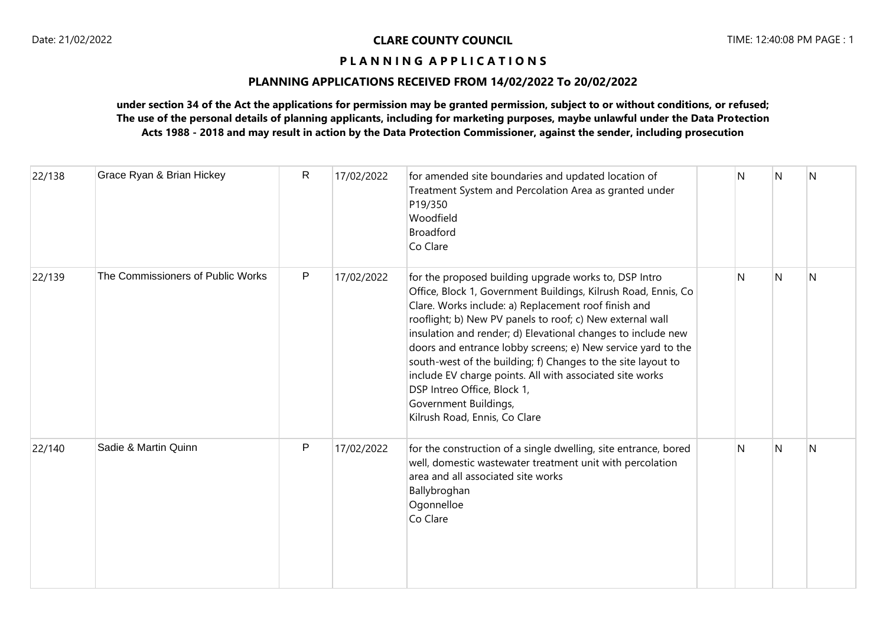## **PLANNING APPLICATIONS RECEIVED FROM 14/02/2022 To 20/02/2022**

| 22/138 | Grace Ryan & Brian Hickey         | $\mathsf{R}$ | 17/02/2022 | for amended site boundaries and updated location of<br>Treatment System and Percolation Area as granted under<br>P19/350<br>Woodfield<br><b>Broadford</b><br>Co Clare                                                                                                                                                                                                                                                                                                                                                                                                                             | N | N | N |
|--------|-----------------------------------|--------------|------------|---------------------------------------------------------------------------------------------------------------------------------------------------------------------------------------------------------------------------------------------------------------------------------------------------------------------------------------------------------------------------------------------------------------------------------------------------------------------------------------------------------------------------------------------------------------------------------------------------|---|---|---|
| 22/139 | The Commissioners of Public Works | P            | 17/02/2022 | for the proposed building upgrade works to, DSP Intro<br>Office, Block 1, Government Buildings, Kilrush Road, Ennis, Co<br>Clare. Works include: a) Replacement roof finish and<br>rooflight; b) New PV panels to roof; c) New external wall<br>insulation and render; d) Elevational changes to include new<br>doors and entrance lobby screens; e) New service yard to the<br>south-west of the building; f) Changes to the site layout to<br>include EV charge points. All with associated site works<br>DSP Intreo Office, Block 1,<br>Government Buildings,<br>Kilrush Road, Ennis, Co Clare | N | N | N |
| 22/140 | Sadie & Martin Quinn              | $\mathsf{P}$ | 17/02/2022 | for the construction of a single dwelling, site entrance, bored<br>well, domestic wastewater treatment unit with percolation<br>area and all associated site works<br>Ballybroghan<br>Ogonnelloe<br>Co Clare                                                                                                                                                                                                                                                                                                                                                                                      | N | N | N |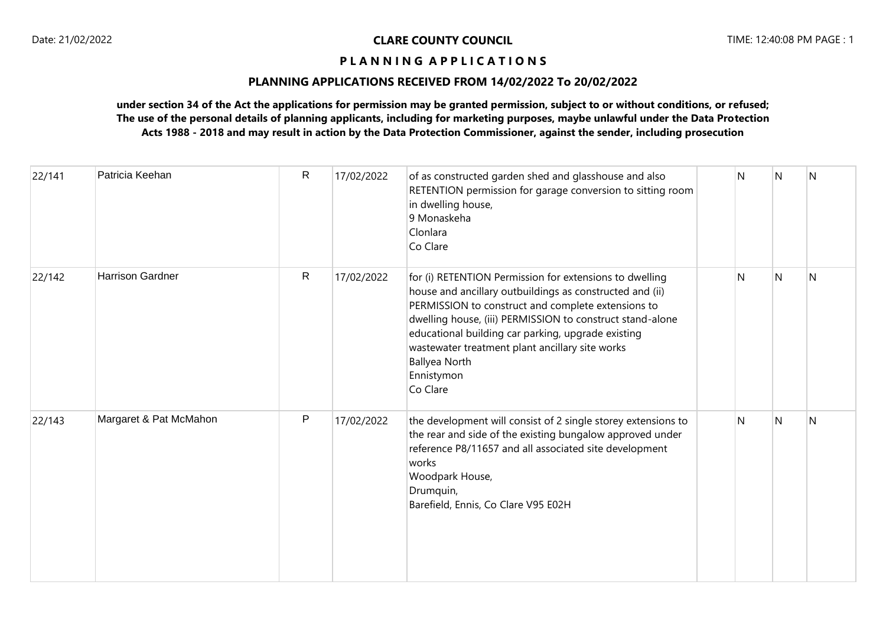## **PLANNING APPLICATIONS RECEIVED FROM 14/02/2022 To 20/02/2022**

| 22/141 | Patricia Keehan         | $\mathsf{R}$ | 17/02/2022 | of as constructed garden shed and glasshouse and also<br>RETENTION permission for garage conversion to sitting room<br>in dwelling house,<br>9 Monaskeha<br>Clonlara<br>Co Clare                                                                                                                                                                                                                  | N            | N            | N            |
|--------|-------------------------|--------------|------------|---------------------------------------------------------------------------------------------------------------------------------------------------------------------------------------------------------------------------------------------------------------------------------------------------------------------------------------------------------------------------------------------------|--------------|--------------|--------------|
| 22/142 | <b>Harrison Gardner</b> | $\mathsf{R}$ | 17/02/2022 | for (i) RETENTION Permission for extensions to dwelling<br>house and ancillary outbuildings as constructed and (ii)<br>PERMISSION to construct and complete extensions to<br>dwelling house, (iii) PERMISSION to construct stand-alone<br>educational building car parking, upgrade existing<br>wastewater treatment plant ancillary site works<br><b>Ballyea North</b><br>Ennistymon<br>Co Clare | $\mathsf{N}$ | $\mathsf{N}$ | $\mathsf{N}$ |
| 22/143 | Margaret & Pat McMahon  | P            | 17/02/2022 | the development will consist of 2 single storey extensions to<br>the rear and side of the existing bungalow approved under<br>reference P8/11657 and all associated site development<br>works<br>Woodpark House,<br>Drumquin,<br>Barefield, Ennis, Co Clare V95 E02H                                                                                                                              | $\mathsf{N}$ | $\mathsf{N}$ | N            |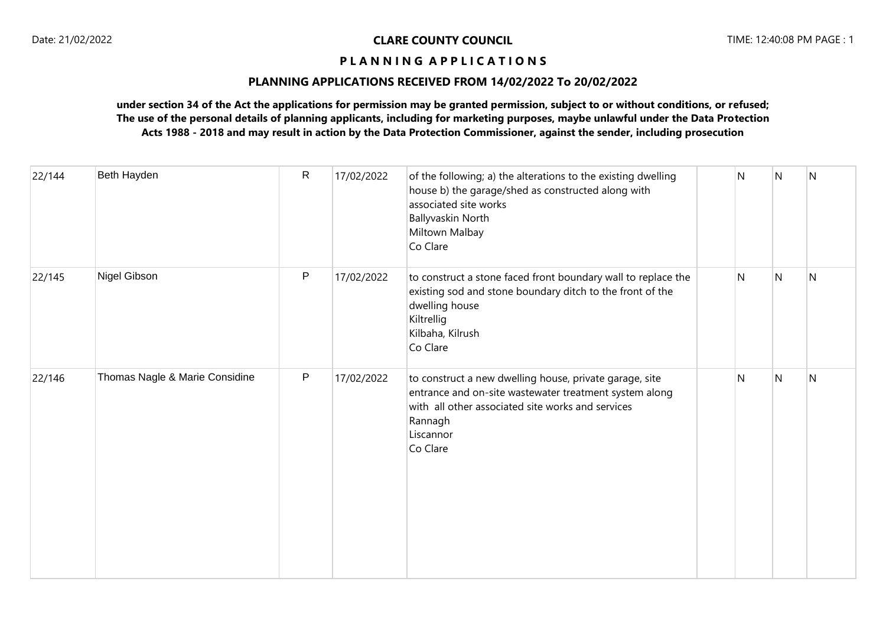## **PLANNING APPLICATIONS RECEIVED FROM 14/02/2022 To 20/02/2022**

| 22/144 | Beth Hayden                    | ${\sf R}$    | 17/02/2022 | of the following; a) the alterations to the existing dwelling<br>house b) the garage/shed as constructed along with<br>associated site works<br><b>Ballyvaskin North</b><br>Miltown Malbay<br>Co Clare     | N | N                       | $\overline{N}$ |
|--------|--------------------------------|--------------|------------|------------------------------------------------------------------------------------------------------------------------------------------------------------------------------------------------------------|---|-------------------------|----------------|
| 22/145 | Nigel Gibson                   | $\mathsf{P}$ | 17/02/2022 | to construct a stone faced front boundary wall to replace the<br>existing sod and stone boundary ditch to the front of the<br>dwelling house<br>Kiltrellig<br>Kilbaha, Kilrush<br>Co Clare                 | N | $\overline{N}$          | N              |
| 22/146 | Thomas Nagle & Marie Considine | $\mathsf{P}$ | 17/02/2022 | to construct a new dwelling house, private garage, site<br>entrance and on-site wastewater treatment system along<br>with all other associated site works and services<br>Rannagh<br>Liscannor<br>Co Clare | N | $\overline{\mathsf{N}}$ | N              |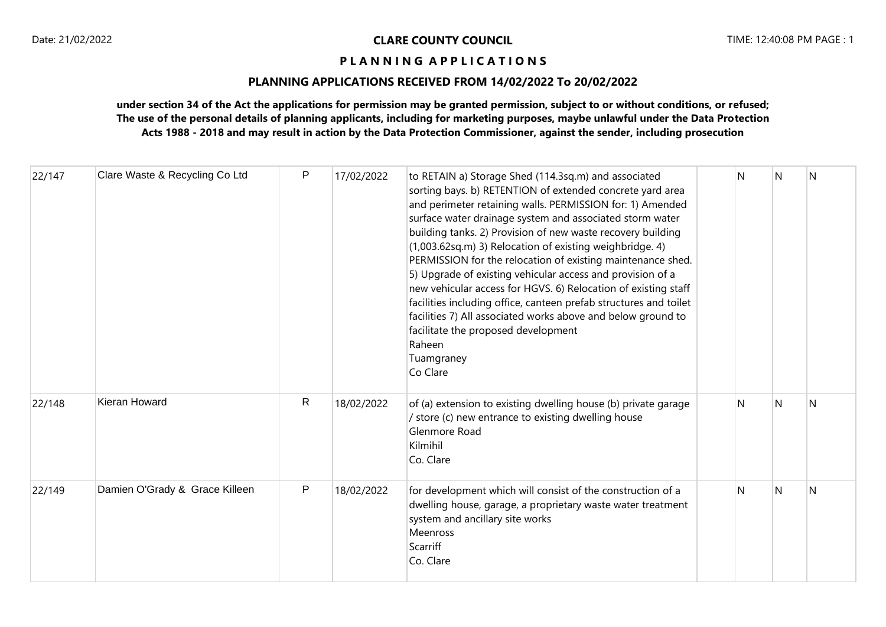## **PLANNING APPLICATIONS RECEIVED FROM 14/02/2022 To 20/02/2022**

| 22/147 | Clare Waste & Recycling Co Ltd | P  | 17/02/2022 | to RETAIN a) Storage Shed (114.3sq.m) and associated<br>sorting bays. b) RETENTION of extended concrete yard area<br>and perimeter retaining walls. PERMISSION for: 1) Amended<br>surface water drainage system and associated storm water<br>building tanks. 2) Provision of new waste recovery building<br>(1,003.62sq.m) 3) Relocation of existing weighbridge. 4)<br>PERMISSION for the relocation of existing maintenance shed.<br>5) Upgrade of existing vehicular access and provision of a<br>new vehicular access for HGVS. 6) Relocation of existing staff<br>facilities including office, canteen prefab structures and toilet<br>facilities 7) All associated works above and below ground to<br>facilitate the proposed development<br>Raheen<br>Tuamgraney<br>Co Clare | N            | N | N            |
|--------|--------------------------------|----|------------|--------------------------------------------------------------------------------------------------------------------------------------------------------------------------------------------------------------------------------------------------------------------------------------------------------------------------------------------------------------------------------------------------------------------------------------------------------------------------------------------------------------------------------------------------------------------------------------------------------------------------------------------------------------------------------------------------------------------------------------------------------------------------------------|--------------|---|--------------|
| 22/148 | <b>Kieran Howard</b>           | R. | 18/02/2022 | of (a) extension to existing dwelling house (b) private garage<br>/ store (c) new entrance to existing dwelling house<br>Glenmore Road<br>Kilmihil<br>Co. Clare                                                                                                                                                                                                                                                                                                                                                                                                                                                                                                                                                                                                                      | $\mathsf{N}$ | N | $\mathsf{N}$ |
| 22/149 | Damien O'Grady & Grace Killeen | P  | 18/02/2022 | for development which will consist of the construction of a<br>dwelling house, garage, a proprietary waste water treatment<br>system and ancillary site works<br>Meenross<br>Scarriff<br>Co. Clare                                                                                                                                                                                                                                                                                                                                                                                                                                                                                                                                                                                   | N            | N | N            |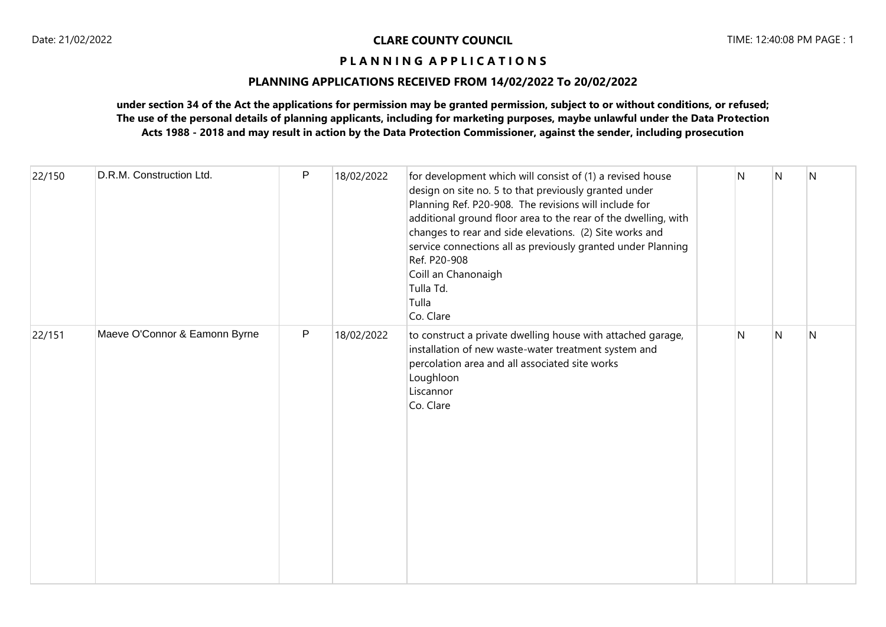## **PLANNING APPLICATIONS RECEIVED FROM 14/02/2022 To 20/02/2022**

| 22/150 | D.R.M. Construction Ltd.      | P            | 18/02/2022 | for development which will consist of (1) a revised house<br>design on site no. 5 to that previously granted under<br>Planning Ref. P20-908. The revisions will include for<br>additional ground floor area to the rear of the dwelling, with<br>changes to rear and side elevations. (2) Site works and<br>service connections all as previously granted under Planning<br>Ref. P20-908<br>Coill an Chanonaigh<br>Tulla Td.<br>Tulla<br>Co. Clare | N            | N            | N            |
|--------|-------------------------------|--------------|------------|----------------------------------------------------------------------------------------------------------------------------------------------------------------------------------------------------------------------------------------------------------------------------------------------------------------------------------------------------------------------------------------------------------------------------------------------------|--------------|--------------|--------------|
| 22/151 | Maeve O'Connor & Eamonn Byrne | $\mathsf{P}$ | 18/02/2022 | to construct a private dwelling house with attached garage,<br>installation of new waste-water treatment system and<br>percolation area and all associated site works<br>Loughloon<br>Liscannor<br>Co. Clare                                                                                                                                                                                                                                       | $\mathsf{N}$ | $\mathsf{N}$ | $\mathsf{N}$ |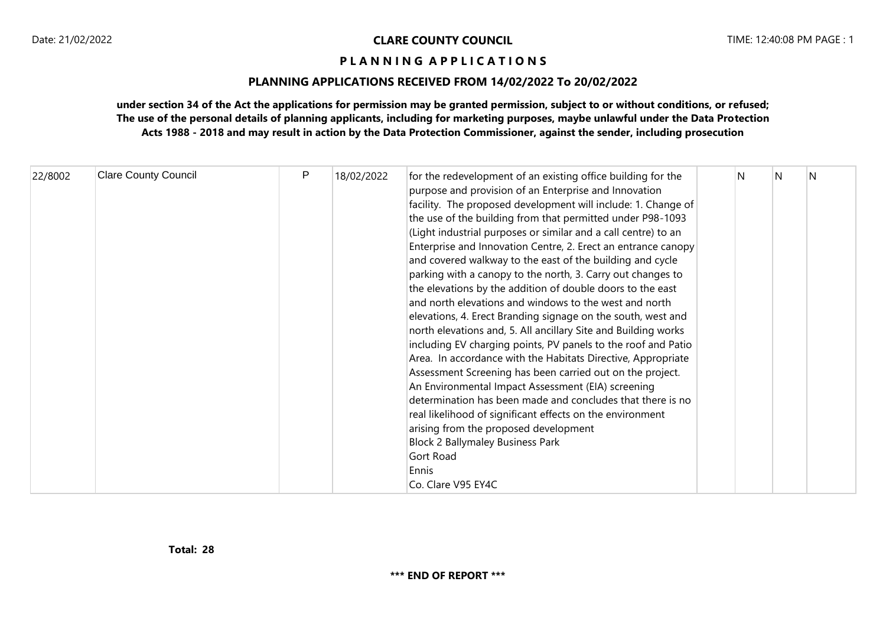## **PLANNING APPLICATIONS RECEIVED FROM 14/02/2022 To 20/02/2022**

| 22/8002 | <b>Clare County Council</b> | P | 18/02/2022 | for the redevelopment of an existing office building for the<br>purpose and provision of an Enterprise and Innovation<br>facility. The proposed development will include: 1. Change of<br>the use of the building from that permitted under P98-1093<br>(Light industrial purposes or similar and a call centre) to an<br>Enterprise and Innovation Centre, 2. Erect an entrance canopy<br>and covered walkway to the east of the building and cycle<br>parking with a canopy to the north, 3. Carry out changes to<br>the elevations by the addition of double doors to the east<br>and north elevations and windows to the west and north<br>elevations, 4. Erect Branding signage on the south, west and<br>north elevations and, 5. All ancillary Site and Building works<br>including EV charging points, PV panels to the roof and Patio<br>Area. In accordance with the Habitats Directive, Appropriate<br>Assessment Screening has been carried out on the project.<br>An Environmental Impact Assessment (EIA) screening<br>determination has been made and concludes that there is no<br>real likelihood of significant effects on the environment<br>arising from the proposed development<br><b>Block 2 Ballymaley Business Park</b><br>Gort Road<br>Ennis<br>Co. Clare V95 EY4C | N | N | N |  |
|---------|-----------------------------|---|------------|----------------------------------------------------------------------------------------------------------------------------------------------------------------------------------------------------------------------------------------------------------------------------------------------------------------------------------------------------------------------------------------------------------------------------------------------------------------------------------------------------------------------------------------------------------------------------------------------------------------------------------------------------------------------------------------------------------------------------------------------------------------------------------------------------------------------------------------------------------------------------------------------------------------------------------------------------------------------------------------------------------------------------------------------------------------------------------------------------------------------------------------------------------------------------------------------------------------------------------------------------------------------------------------------|---|---|---|--|
|---------|-----------------------------|---|------------|----------------------------------------------------------------------------------------------------------------------------------------------------------------------------------------------------------------------------------------------------------------------------------------------------------------------------------------------------------------------------------------------------------------------------------------------------------------------------------------------------------------------------------------------------------------------------------------------------------------------------------------------------------------------------------------------------------------------------------------------------------------------------------------------------------------------------------------------------------------------------------------------------------------------------------------------------------------------------------------------------------------------------------------------------------------------------------------------------------------------------------------------------------------------------------------------------------------------------------------------------------------------------------------------|---|---|---|--|